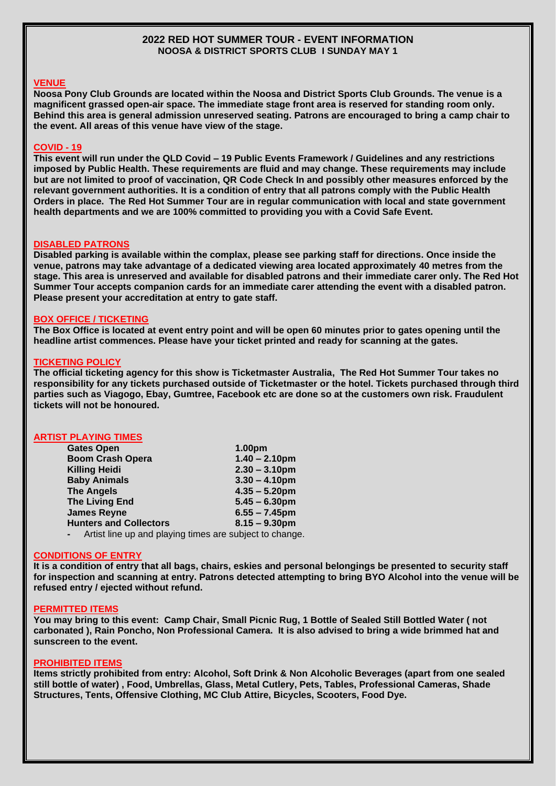## **2022 RED HOT SUMMER TOUR - EVENT INFORMATION NOOSA & DISTRICT SPORTS CLUB I SUNDAY MAY 1**

# **VENUE**

**Noosa Pony Club Grounds are located within the Noosa and District Sports Club Grounds. The venue is a magnificent grassed open-air space. The immediate stage front area is reserved for standing room only. Behind this area is general admission unreserved seating. Patrons are encouraged to bring a camp chair to the event. All areas of this venue have view of the stage.**

## **COVID - 19**

**This event will run under the QLD Covid – 19 Public Events Framework / Guidelines and any restrictions imposed by Public Health. These requirements are fluid and may change. These requirements may include but are not limited to proof of vaccination, QR Code Check In and possibly other measures enforced by the relevant government authorities. It is a condition of entry that all patrons comply with the Public Health Orders in place. The Red Hot Summer Tour are in regular communication with local and state government health departments and we are 100% committed to providing you with a Covid Safe Event.** 

### **DISABLED PATRONS**

**Disabled parking is available within the complax, please see parking staff for directions. Once inside the venue, patrons may take advantage of a dedicated viewing area located approximately 40 metres from the stage. This area is unreserved and available for disabled patrons and their immediate carer only. The Red Hot Summer Tour accepts companion cards for an immediate carer attending the event with a disabled patron. Please present your accreditation at entry to gate staff.** 

#### **BOX OFFICE / TICKETING**

**The Box Office is located at event entry point and will be open 60 minutes prior to gates opening until the headline artist commences. Please have your ticket printed and ready for scanning at the gates.** 

### **TICKETING POLICY**

**The official ticketing agency for this show is Ticketmaster Australia, The Red Hot Summer Tour takes no responsibility for any tickets purchased outside of Ticketmaster or the hotel. Tickets purchased through third parties such as Viagogo, Ebay, Gumtree, Facebook etc are done so at the customers own risk. Fraudulent tickets will not be honoured.**

## **ARTIST PLAYING TIMES**

| <b>Gates Open</b>                                                        | 1.00pm           |
|--------------------------------------------------------------------------|------------------|
| <b>Boom Crash Opera</b>                                                  | $1.40 - 2.10$ pm |
| <b>Killing Heidi</b>                                                     | $2.30 - 3.10$ pm |
| <b>Baby Animals</b>                                                      | $3.30 - 4.10$ pm |
| <b>The Angels</b>                                                        | $4.35 - 5.20$ pm |
| <b>The Living End</b>                                                    | $5.45 - 6.30$ pm |
| <b>James Reyne</b>                                                       | $6.55 - 7.45$ pm |
| <b>Hunters and Collectors</b>                                            | $8.15 - 9.30$ pm |
| Artist line up and playing times are subject to change<br>$\blacksquare$ |                  |

#### **CONDITIONS OF ENTRY**

**It is a condition of entry that all bags, chairs, eskies and personal belongings be presented to security staff for inspection and scanning at entry. Patrons detected attempting to bring BYO Alcohol into the venue will be refused entry / ejected without refund.** 

#### **PERMITTED ITEMS**

**You may bring to this event: Camp Chair, Small Picnic Rug, 1 Bottle of Sealed Still Bottled Water ( not carbonated ), Rain Poncho, Non Professional Camera. It is also advised to bring a wide brimmed hat and sunscreen to the event.**

#### **PROHIBITED ITEMS**

**Items strictly prohibited from entry: Alcohol, Soft Drink & Non Alcoholic Beverages (apart from one sealed still bottle of water) , Food, Umbrellas, Glass, Metal Cutlery, Pets, Tables, Professional Cameras, Shade Structures, Tents, Offensive Clothing, MC Club Attire, Bicycles, Scooters, Food Dye.**